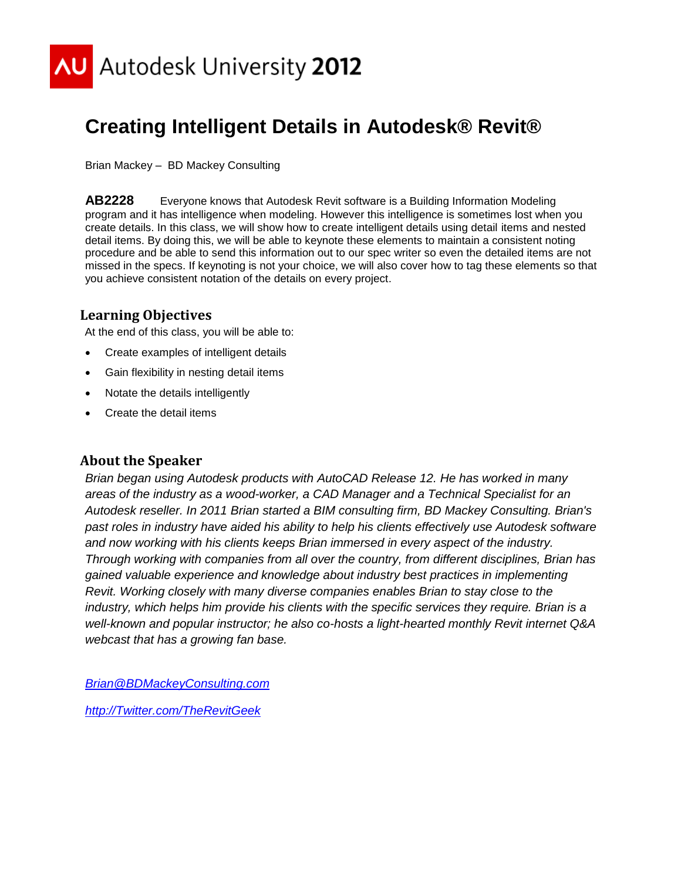

# **Creating Intelligent Details in Autodesk® Revit®**

Brian Mackey – BD Mackey Consulting

**AB2228** Everyone knows that Autodesk Revit software is a Building Information Modeling program and it has intelligence when modeling. However this intelligence is sometimes lost when you create details. In this class, we will show how to create intelligent details using detail items and nested detail items. By doing this, we will be able to keynote these elements to maintain a consistent noting procedure and be able to send this information out to our spec writer so even the detailed items are not missed in the specs. If keynoting is not your choice, we will also cover how to tag these elements so that you achieve consistent notation of the details on every project.

# **Learning Objectives**

At the end of this class, you will be able to:

- Create examples of intelligent details
- Gain flexibility in nesting detail items
- Notate the details intelligently
- Create the detail items

# **About the Speaker**

*Brian began using Autodesk products with AutoCAD Release 12. He has worked in many areas of the industry as a wood-worker, a CAD Manager and a Technical Specialist for an Autodesk reseller. In 2011 Brian started a BIM consulting firm, BD Mackey Consulting. Brian's past roles in industry have aided his ability to help his clients effectively use Autodesk software and now working with his clients keeps Brian immersed in every aspect of the industry. Through working with companies from all over the country, from different disciplines, Brian has gained valuable experience and knowledge about industry best practices in implementing Revit. Working closely with many diverse companies enables Brian to stay close to the industry, which helps him provide his clients with the specific services they require. Brian is a well-known and popular instructor; he also co-hosts a light-hearted monthly Revit internet Q&A webcast that has a growing fan base.*

*[Brian@BDMackeyConsulting.com](mailto:Brian@BDMackeyConsulting.com)*

*[http://Twitter.com/TheRevitGeek](http://twitter.com/TheRevitGeek)*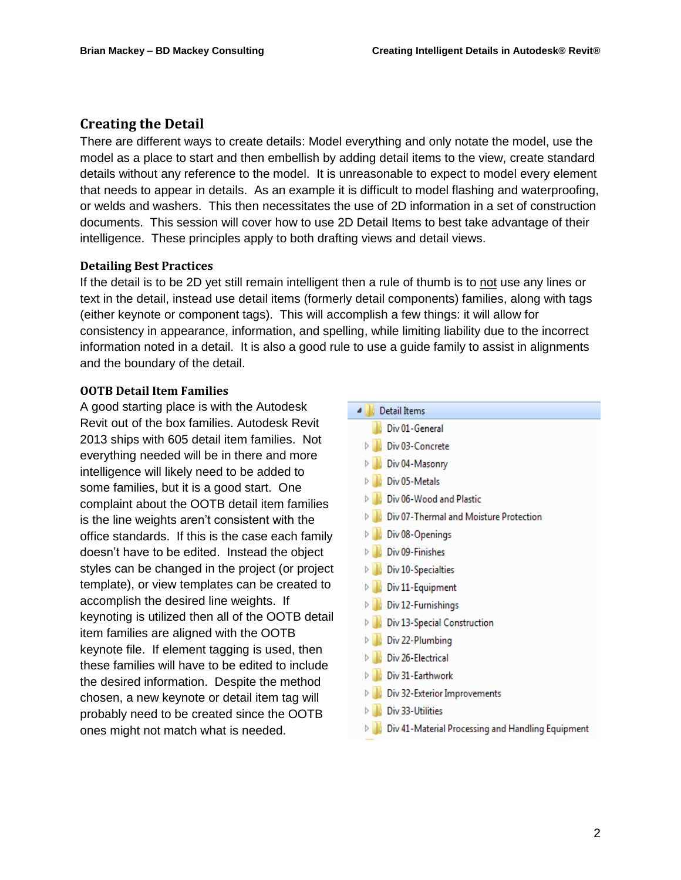### **Creating the Detail**

There are different ways to create details: Model everything and only notate the model, use the model as a place to start and then embellish by adding detail items to the view, create standard details without any reference to the model. It is unreasonable to expect to model every element that needs to appear in details. As an example it is difficult to model flashing and waterproofing, or welds and washers. This then necessitates the use of 2D information in a set of construction documents. This session will cover how to use 2D Detail Items to best take advantage of their intelligence. These principles apply to both drafting views and detail views.

#### **Detailing Best Practices**

If the detail is to be 2D yet still remain intelligent then a rule of thumb is to not use any lines or text in the detail, instead use detail items (formerly detail components) families, along with tags (either keynote or component tags). This will accomplish a few things: it will allow for consistency in appearance, information, and spelling, while limiting liability due to the incorrect information noted in a detail. It is also a good rule to use a guide family to assist in alignments and the boundary of the detail.

#### **OOTB Detail Item Families**

A good starting place is with the Autodesk Revit out of the box families. Autodesk Revit 2013 ships with 605 detail item families. Not everything needed will be in there and more intelligence will likely need to be added to some families, but it is a good start. One complaint about the OOTB detail item families is the line weights aren't consistent with the office standards. If this is the case each family doesn't have to be edited. Instead the object styles can be changed in the project (or project template), or view templates can be created to accomplish the desired line weights. If keynoting is utilized then all of the OOTB detail item families are aligned with the OOTB keynote file. If element tagging is used, then these families will have to be edited to include the desired information. Despite the method chosen, a new keynote or detail item tag will probably need to be created since the OOTB ones might not match what is needed.

| Detail Items<br>₫                                 |
|---------------------------------------------------|
| Div 01-General                                    |
| Div 03-Concrete<br>D                              |
| D<br>Div 04-Masonry                               |
| Div 05-Metals<br>Þ                                |
| Div 06-Wood and Plastic                           |
| Div 07-Thermal and Moisture Protection<br>D       |
| Div 08-Openings<br>D                              |
| Div 09-Finishes                                   |
| Div 10-Specialties<br>D                           |
| Div 11-Equipment<br>D                             |
| Div 12-Furnishings<br>D                           |
| Div 13-Special Construction<br>$\triangleright$   |
| Div 22-Plumbing<br>D                              |
| Div 26-Electrical<br>Þ                            |
| Div 31-Earthwork<br>Þ                             |
| Div 32-Exterior Improvements<br>Þ                 |
| Div 33-Utilities                                  |
| Div 41-Material Processing and Handling Equipment |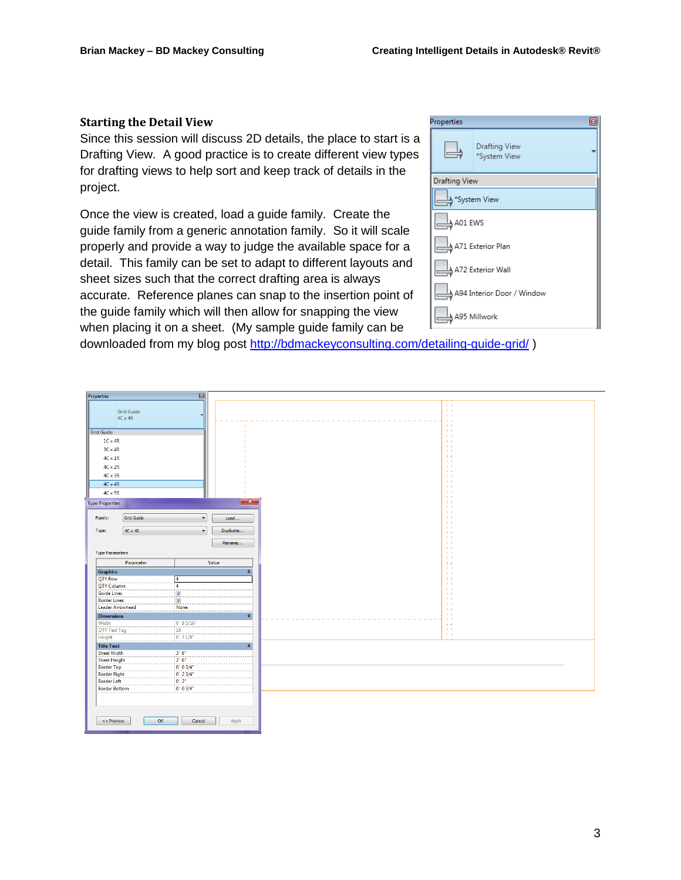#### **Starting the Detail View**

Since this session will discuss 2D details, the place to start is a Drafting View. A good practice is to create different view types for drafting views to help sort and keep track of details in the project.

Once the view is created, load a guide family. Create the guide family from a generic annotation family. So it will scale properly and provide a way to judge the available space for a detail. This family can be set to adapt to different layouts and sheet sizes such that the correct drafting area is always accurate. Reference planes can snap to the insertion point of the guide family which will then allow for snapping the view when placing it on a sheet. (My sample guide family can be

| Properties    |                                      |
|---------------|--------------------------------------|
|               | <b>Drafting View</b><br>*System View |
| Drafting View |                                      |
|               | *System View                         |
| A01 EWS       |                                      |
|               | A71 Exterior Plan                    |
|               | A72 Exterior Wall                    |
|               | A94 Interior Door / Window           |
|               | A95 Millwork                         |

downloaded from my blog post<http://bdmackeyconsulting.com/detailing-guide-grid/> )

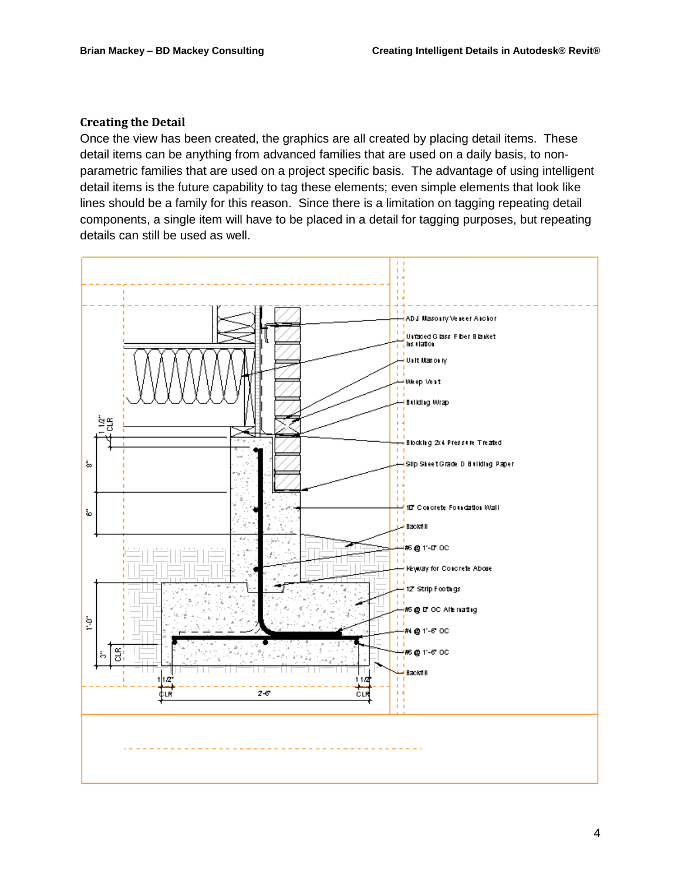#### **Creating the Detail**

Once the view has been created, the graphics are all created by placing detail items. These detail items can be anything from advanced families that are used on a daily basis, to nonparametric families that are used on a project specific basis. The advantage of using intelligent detail items is the future capability to tag these elements; even simple elements that look like lines should be a family for this reason. Since there is a limitation on tagging repeating detail components, a single item will have to be placed in a detail for tagging purposes, but repeating details can still be used as well.

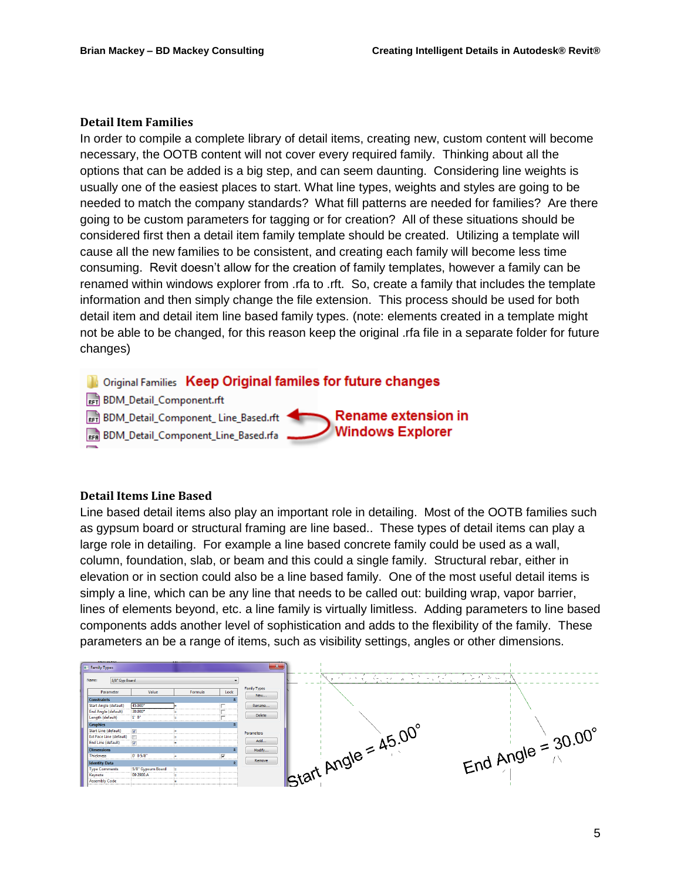#### **Detail Item Families**

In order to compile a complete library of detail items, creating new, custom content will become necessary, the OOTB content will not cover every required family. Thinking about all the options that can be added is a big step, and can seem daunting. Considering line weights is usually one of the easiest places to start. What line types, weights and styles are going to be needed to match the company standards? What fill patterns are needed for families? Are there going to be custom parameters for tagging or for creation? All of these situations should be considered first then a detail item family template should be created. Utilizing a template will cause all the new families to be consistent, and creating each family will become less time consuming. Revit doesn't allow for the creation of family templates, however a family can be renamed within windows explorer from .rfa to .rft. So, create a family that includes the template information and then simply change the file extension. This process should be used for both detail item and detail item line based family types. (note: elements created in a template might not be able to be changed, for this reason keep the original .rfa file in a separate folder for future changes)

**De Original Families** Keep Original familes for future changes

**RET BDM Detail Component.rft** 

RFT BDM\_Detail\_Component\_Line\_Based.rft

RFR BDM\_Detail\_Component\_Line\_Based.rfa

#### **Detail Items Line Based**

Line based detail items also play an important role in detailing. Most of the OOTB families such as gypsum board or structural framing are line based.. These types of detail items can play a large role in detailing. For example a line based concrete family could be used as a wall, column, foundation, slab, or beam and this could a single family. Structural rebar, either in elevation or in section could also be a line based family. One of the most useful detail items is simply a line, which can be any line that needs to be called out: building wrap, vapor barrier, lines of elements beyond, etc. a line family is virtually limitless. Adding parameters to line based components adds another level of sophistication and adds to the flexibility of the family. These parameters an be a range of items, such as visibility settings, angles or other dimensions.

Rename extension in

**Windows Explorer** 

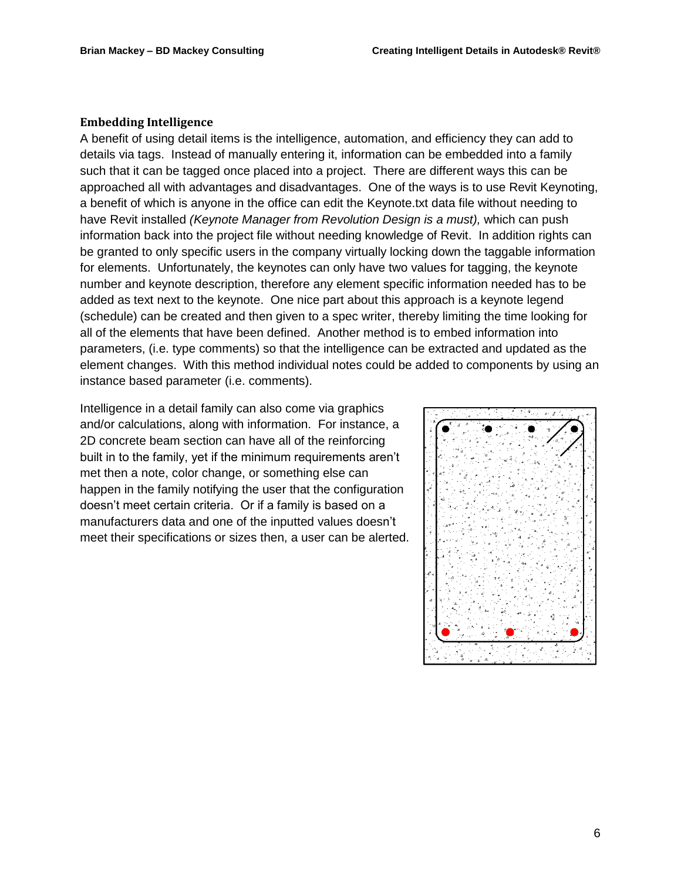#### **Embedding Intelligence**

A benefit of using detail items is the intelligence, automation, and efficiency they can add to details via tags. Instead of manually entering it, information can be embedded into a family such that it can be tagged once placed into a project. There are different ways this can be approached all with advantages and disadvantages. One of the ways is to use Revit Keynoting, a benefit of which is anyone in the office can edit the Keynote.txt data file without needing to have Revit installed *(Keynote Manager from Revolution Design is a must),* which can push information back into the project file without needing knowledge of Revit. In addition rights can be granted to only specific users in the company virtually locking down the taggable information for elements. Unfortunately, the keynotes can only have two values for tagging, the keynote number and keynote description, therefore any element specific information needed has to be added as text next to the keynote. One nice part about this approach is a keynote legend (schedule) can be created and then given to a spec writer, thereby limiting the time looking for all of the elements that have been defined. Another method is to embed information into parameters, (i.e. type comments) so that the intelligence can be extracted and updated as the element changes. With this method individual notes could be added to components by using an instance based parameter (i.e. comments).

Intelligence in a detail family can also come via graphics and/or calculations, along with information. For instance, a 2D concrete beam section can have all of the reinforcing built in to the family, yet if the minimum requirements aren't met then a note, color change, or something else can happen in the family notifying the user that the configuration doesn't meet certain criteria. Or if a family is based on a manufacturers data and one of the inputted values doesn't meet their specifications or sizes then, a user can be alerted.

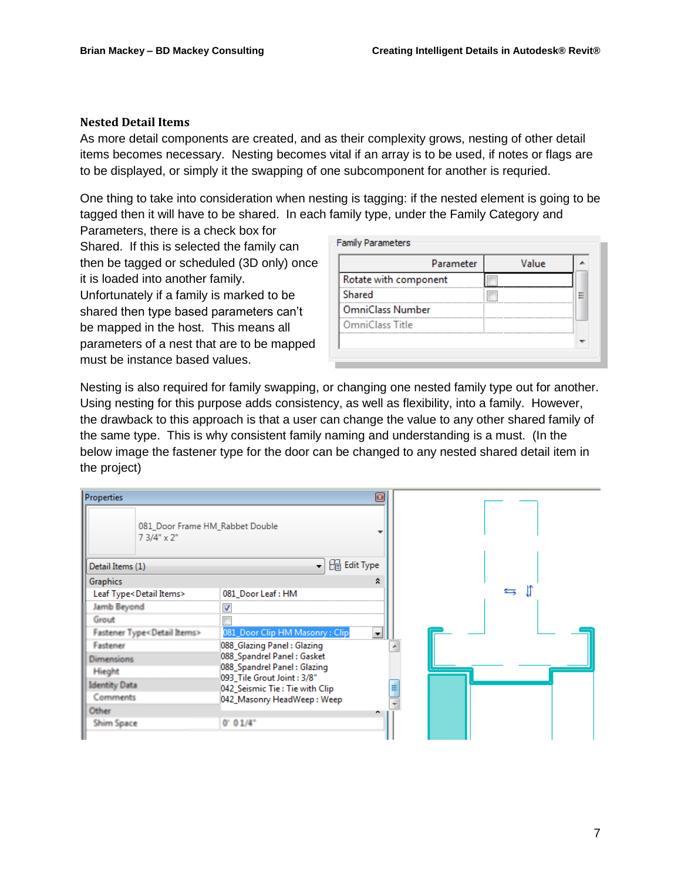#### **Nested Detail Items**

As more detail components are created, and as their complexity grows, nesting of other detail items becomes necessary. Nesting becomes vital if an array is to be used, if notes or flags are to be displayed, or simply it the swapping of one subcomponent for another is requried.

One thing to take into consideration when nesting is tagging: if the nested element is going to be tagged then it will have to be shared. In each family type, under the Family Category and

Parameters, there is a check box for Shared. If this is selected the family can then be tagged or scheduled (3D only) once it is loaded into another family. Unfortunately if a family is marked to be shared then type based parameters can't be mapped in the host. This means all parameters of a nest that are to be mapped must be instance based values.

|                         | Parameter | Value |   |
|-------------------------|-----------|-------|---|
| Rotate with component   |           |       |   |
| Shared                  |           |       | ⋿ |
| <b>OmniClass Number</b> |           |       |   |
| OmniClass Title         |           |       |   |

Nesting is also required for family swapping, or changing one nested family type out for another. Using nesting for this purpose adds consistency, as well as flexibility, into a family. However, the drawback to this approach is that a user can change the value to any other shared family of the same type. This is why consistent family naming and understanding is a must. (In the below image the fastener type for the door can be changed to any nested shared detail item in the project)

| Properties                               |                                                            | 囩                                                                                    |
|------------------------------------------|------------------------------------------------------------|--------------------------------------------------------------------------------------|
| $73/4$ " x $2$ "                         | 081_Door Frame HM_Rabbet Double                            |                                                                                      |
| Detail Items (1)                         |                                                            | $\blacktriangleright$ $\lvert \frac{\partial \mathbb{R}}{\partial \theta}$ Edit Type |
| Graphics                                 |                                                            | ∝                                                                                    |
| Leaf Type <detail items=""></detail>     | 081_Door Leaf: HM                                          |                                                                                      |
| Jamb Beyond                              |                                                            |                                                                                      |
| Grout                                    |                                                            |                                                                                      |
| Fastener Type <detail items=""></detail> | 081_Door Clip HM Masonry : Clip                            | ▼                                                                                    |
| Fastener                                 | 088_Glazing Panel: Glazing                                 |                                                                                      |
| <b>Dimensions</b>                        | 088 Spandrel Panel: Gasket                                 |                                                                                      |
| Hieght                                   | 088_Spandrel Panel: Glazing<br>093_Tile Grout Joint : 3/8" |                                                                                      |
| <b>Identity Data</b>                     | 042_Seismic Tie : Tie with Clip                            | ≡                                                                                    |
| Comments                                 | 042_Masonry HeadWeep: Weep                                 |                                                                                      |
| Other                                    |                                                            |                                                                                      |
| <b>Shim Space</b>                        | 0' 01/4"                                                   |                                                                                      |
|                                          |                                                            |                                                                                      |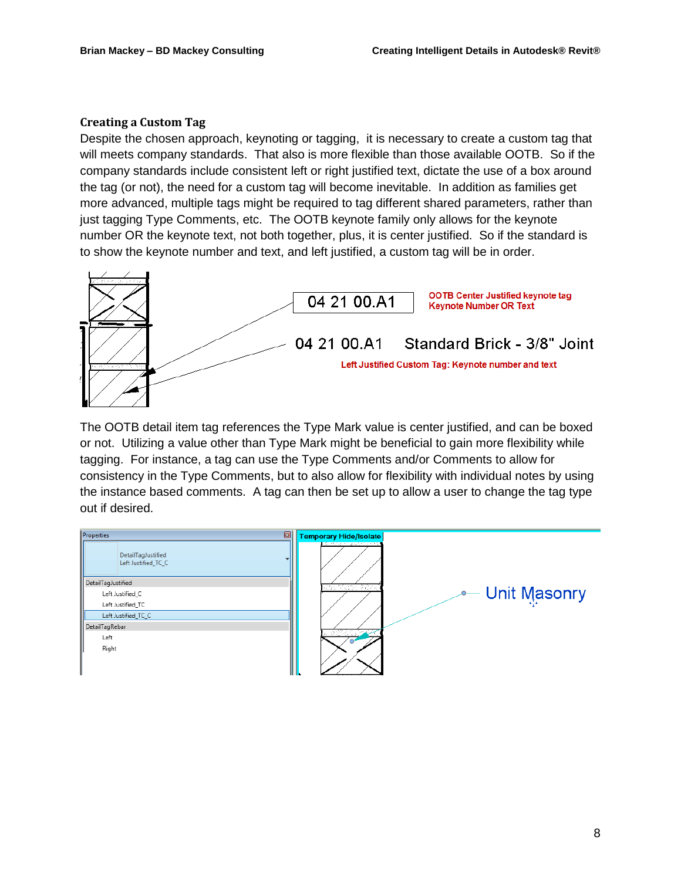#### **Creating a Custom Tag**

Despite the chosen approach, keynoting or tagging, it is necessary to create a custom tag that will meets company standards. That also is more flexible than those available OOTB. So if the company standards include consistent left or right justified text, dictate the use of a box around the tag (or not), the need for a custom tag will become inevitable. In addition as families get more advanced, multiple tags might be required to tag different shared parameters, rather than just tagging Type Comments, etc. The OOTB keynote family only allows for the keynote number OR the keynote text, not both together, plus, it is center justified. So if the standard is to show the keynote number and text, and left justified, a custom tag will be in order.



The OOTB detail item tag references the Type Mark value is center justified, and can be boxed or not. Utilizing a value other than Type Mark might be beneficial to gain more flexibility while tagging. For instance, a tag can use the Type Comments and/or Comments to allow for consistency in the Type Comments, but to also allow for flexibility with individual notes by using the instance based comments. A tag can then be set up to allow a user to change the tag type out if desired.

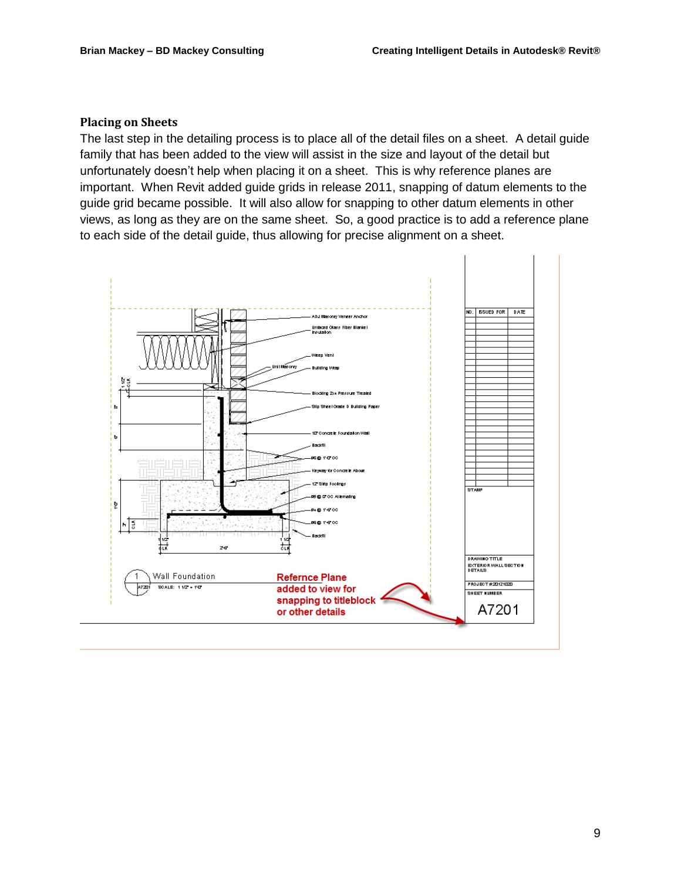#### **Placing on Sheets**

The last step in the detailing process is to place all of the detail files on a sheet. A detail guide family that has been added to the view will assist in the size and layout of the detail but unfortunately doesn't help when placing it on a sheet. This is why reference planes are important. When Revit added guide grids in release 2011, snapping of datum elements to the guide grid became possible. It will also allow for snapping to other datum elements in other views, as long as they are on the same sheet. So, a good practice is to add a reference plane to each side of the detail guide, thus allowing for precise alignment on a sheet.